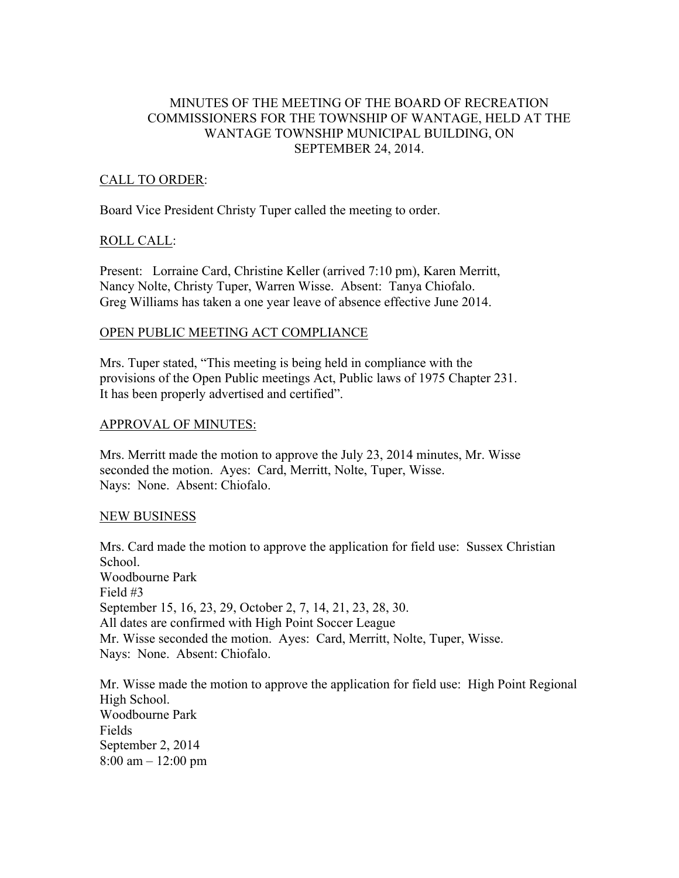# MINUTES OF THE MEETING OF THE BOARD OF RECREATION COMMISSIONERS FOR THE TOWNSHIP OF WANTAGE, HELD AT THE WANTAGE TOWNSHIP MUNICIPAL BUILDING, ON SEPTEMBER 24, 2014.

## CALL TO ORDER:

Board Vice President Christy Tuper called the meeting to order.

#### ROLL CALL:

Present: Lorraine Card, Christine Keller (arrived 7:10 pm), Karen Merritt, Nancy Nolte, Christy Tuper, Warren Wisse. Absent: Tanya Chiofalo. Greg Williams has taken a one year leave of absence effective June 2014.

### OPEN PUBLIC MEETING ACT COMPLIANCE

Mrs. Tuper stated, "This meeting is being held in compliance with the provisions of the Open Public meetings Act, Public laws of 1975 Chapter 231. It has been properly advertised and certified".

#### APPROVAL OF MINUTES:

Mrs. Merritt made the motion to approve the July 23, 2014 minutes, Mr. Wisse seconded the motion. Ayes: Card, Merritt, Nolte, Tuper, Wisse. Nays: None. Absent: Chiofalo.

### NEW BUSINESS

Mrs. Card made the motion to approve the application for field use: Sussex Christian School. Woodbourne Park Field #3 September 15, 16, 23, 29, October 2, 7, 14, 21, 23, 28, 30. All dates are confirmed with High Point Soccer League Mr. Wisse seconded the motion. Ayes: Card, Merritt, Nolte, Tuper, Wisse. Nays: None. Absent: Chiofalo.

Mr. Wisse made the motion to approve the application for field use: High Point Regional High School. Woodbourne Park Fields September 2, 2014 8:00 am – 12:00 pm